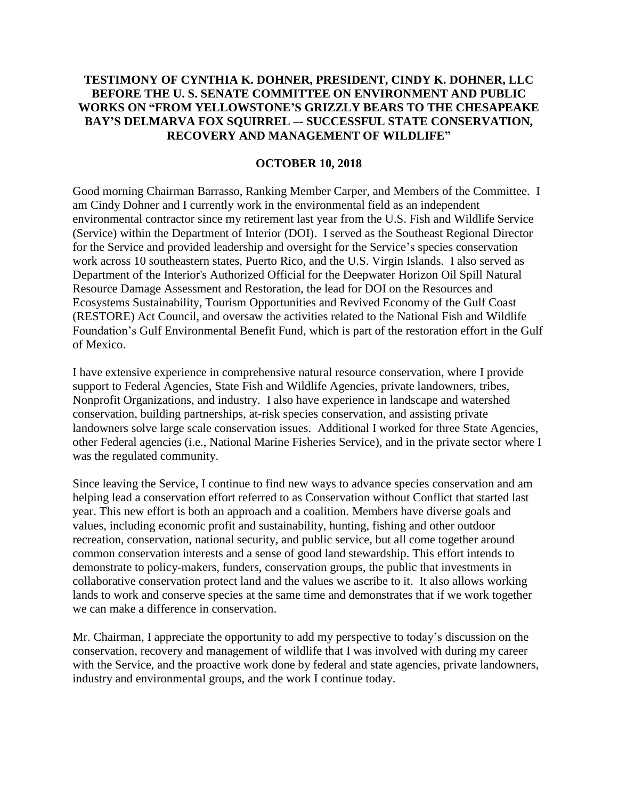## **TESTIMONY OF CYNTHIA K. DOHNER, PRESIDENT, CINDY K. DOHNER, LLC BEFORE THE U. S. SENATE COMMITTEE ON ENVIRONMENT AND PUBLIC WORKS ON "FROM YELLOWSTONE'S GRIZZLY BEARS TO THE CHESAPEAKE BAY'S DELMARVA FOX SQUIRREL –- SUCCESSFUL STATE CONSERVATION, RECOVERY AND MANAGEMENT OF WILDLIFE"**

### **OCTOBER 10, 2018**

Good morning Chairman Barrasso, Ranking Member Carper, and Members of the Committee. I am Cindy Dohner and I currently work in the environmental field as an independent environmental contractor since my retirement last year from the U.S. Fish and Wildlife Service (Service) within the Department of Interior (DOI). I served as the Southeast Regional Director for the Service and provided leadership and oversight for the Service's species conservation work across 10 southeastern states, Puerto Rico, and the U.S. Virgin Islands. I also served as Department of the Interior's Authorized Official for the Deepwater Horizon Oil Spill Natural Resource Damage Assessment and Restoration, the lead for DOI on the Resources and Ecosystems Sustainability, Tourism Opportunities and Revived Economy of the Gulf Coast (RESTORE) Act Council, and oversaw the activities related to the National Fish and Wildlife Foundation's Gulf Environmental Benefit Fund, which is part of the restoration effort in the Gulf of Mexico.

I have extensive experience in comprehensive natural resource conservation, where I provide support to Federal Agencies, State Fish and Wildlife Agencies, private landowners, tribes, Nonprofit Organizations, and industry. I also have experience in landscape and watershed conservation, building partnerships, at-risk species conservation, and assisting private landowners solve large scale conservation issues. Additional I worked for three State Agencies, other Federal agencies (i.e., National Marine Fisheries Service), and in the private sector where I was the regulated community.

Since leaving the Service, I continue to find new ways to advance species conservation and am helping lead a conservation effort referred to as Conservation without Conflict that started last year. This new effort is both an approach and a coalition. Members have diverse goals and values, including economic profit and sustainability, hunting, fishing and other outdoor recreation, conservation, national security, and public service, but all come together around common conservation interests and a sense of good land stewardship. This effort intends to demonstrate to policy-makers, funders, conservation groups, the public that investments in collaborative conservation protect land and the values we ascribe to it. It also allows working lands to work and conserve species at the same time and demonstrates that if we work together we can make a difference in conservation.

Mr. Chairman, I appreciate the opportunity to add my perspective to today's discussion on the conservation, recovery and management of wildlife that I was involved with during my career with the Service, and the proactive work done by federal and state agencies, private landowners, industry and environmental groups, and the work I continue today.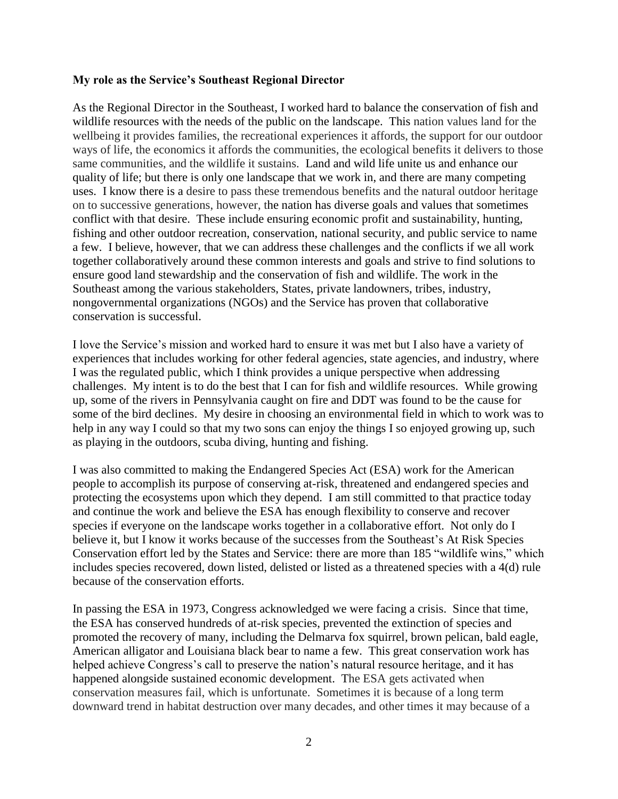### **My role as the Service's Southeast Regional Director**

As the Regional Director in the Southeast, I worked hard to balance the conservation of fish and wildlife resources with the needs of the public on the landscape. This nation values land for the wellbeing it provides families, the recreational experiences it affords, the support for our outdoor ways of life, the economics it affords the communities, the ecological benefits it delivers to those same communities, and the wildlife it sustains. Land and wild life unite us and enhance our quality of life; but there is only one landscape that we work in, and there are many competing uses. I know there is a desire to pass these tremendous benefits and the natural outdoor heritage on to successive generations, however, the nation has diverse goals and values that sometimes conflict with that desire. These include ensuring economic profit and sustainability, hunting, fishing and other outdoor recreation, conservation, national security, and public service to name a few. I believe, however, that we can address these challenges and the conflicts if we all work together collaboratively around these common interests and goals and strive to find solutions to ensure good land stewardship and the conservation of fish and wildlife. The work in the Southeast among the various stakeholders, States, private landowners, tribes, industry, nongovernmental organizations (NGOs) and the Service has proven that collaborative conservation is successful.

I love the Service's mission and worked hard to ensure it was met but I also have a variety of experiences that includes working for other federal agencies, state agencies, and industry, where I was the regulated public, which I think provides a unique perspective when addressing challenges. My intent is to do the best that I can for fish and wildlife resources. While growing up, some of the rivers in Pennsylvania caught on fire and DDT was found to be the cause for some of the bird declines. My desire in choosing an environmental field in which to work was to help in any way I could so that my two sons can enjoy the things I so enjoyed growing up, such as playing in the outdoors, scuba diving, hunting and fishing.

I was also committed to making the Endangered Species Act (ESA) work for the American people to accomplish its purpose of conserving at-risk, threatened and endangered species and protecting the ecosystems upon which they depend. I am still committed to that practice today and continue the work and believe the ESA has enough flexibility to conserve and recover species if everyone on the landscape works together in a collaborative effort. Not only do I believe it, but I know it works because of the successes from the Southeast's At Risk Species Conservation effort led by the States and Service: there are more than 185 "wildlife wins," which includes species recovered, down listed, delisted or listed as a threatened species with a 4(d) rule because of the conservation efforts.

In passing the ESA in 1973, Congress acknowledged we were facing a crisis. Since that time, the ESA has conserved hundreds of at-risk species, prevented the extinction of species and promoted the recovery of many, including the Delmarva fox squirrel, brown pelican, bald eagle, American alligator and Louisiana black bear to name a few. This great conservation work has helped achieve Congress's call to preserve the nation's natural resource heritage, and it has happened alongside sustained economic development. The ESA gets activated when conservation measures fail, which is unfortunate. Sometimes it is because of a long term downward trend in habitat destruction over many decades, and other times it may because of a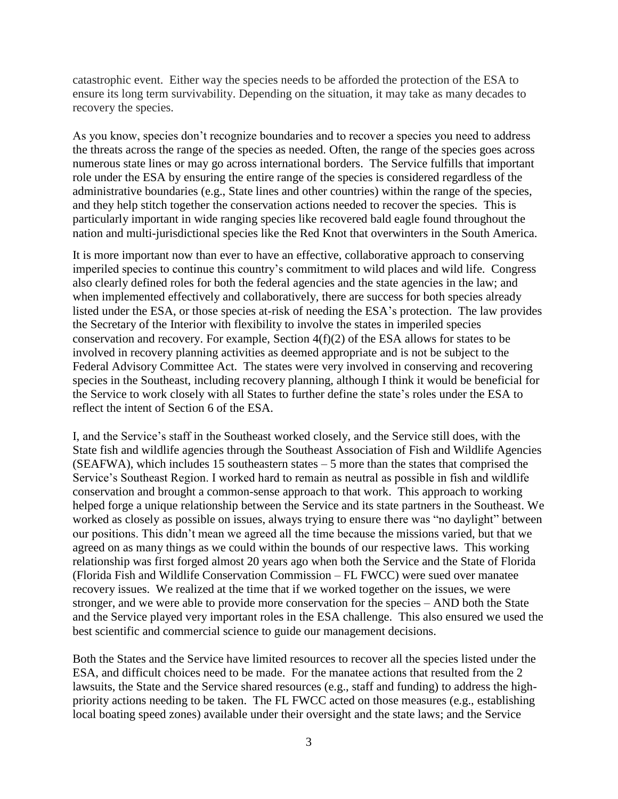catastrophic event. Either way the species needs to be afforded the protection of the ESA to ensure its long term survivability. Depending on the situation, it may take as many decades to recovery the species.

As you know, species don't recognize boundaries and to recover a species you need to address the threats across the range of the species as needed. Often, the range of the species goes across numerous state lines or may go across international borders. The Service fulfills that important role under the ESA by ensuring the entire range of the species is considered regardless of the administrative boundaries (e.g., State lines and other countries) within the range of the species, and they help stitch together the conservation actions needed to recover the species. This is particularly important in wide ranging species like recovered bald eagle found throughout the nation and multi-jurisdictional species like the Red Knot that overwinters in the South America.

It is more important now than ever to have an effective, collaborative approach to conserving imperiled species to continue this country's commitment to wild places and wild life. Congress also clearly defined roles for both the federal agencies and the state agencies in the law; and when implemented effectively and collaboratively, there are success for both species already listed under the ESA, or those species at-risk of needing the ESA's protection. The law provides the Secretary of the Interior with flexibility to involve the states in imperiled species conservation and recovery. For example, Section 4(f)(2) of the ESA allows for states to be involved in recovery planning activities as deemed appropriate and is not be subject to the Federal Advisory Committee Act. The states were very involved in conserving and recovering species in the Southeast, including recovery planning, although I think it would be beneficial for the Service to work closely with all States to further define the state's roles under the ESA to reflect the intent of Section 6 of the ESA.

I, and the Service's staff in the Southeast worked closely, and the Service still does, with the State fish and wildlife agencies through the Southeast Association of Fish and Wildlife Agencies (SEAFWA), which includes 15 southeastern states – 5 more than the states that comprised the Service's Southeast Region. I worked hard to remain as neutral as possible in fish and wildlife conservation and brought a common-sense approach to that work. This approach to working helped forge a unique relationship between the Service and its state partners in the Southeast. We worked as closely as possible on issues, always trying to ensure there was "no daylight" between our positions. This didn't mean we agreed all the time because the missions varied, but that we agreed on as many things as we could within the bounds of our respective laws. This working relationship was first forged almost 20 years ago when both the Service and the State of Florida (Florida Fish and Wildlife Conservation Commission – FL FWCC) were sued over manatee recovery issues. We realized at the time that if we worked together on the issues, we were stronger, and we were able to provide more conservation for the species – AND both the State and the Service played very important roles in the ESA challenge. This also ensured we used the best scientific and commercial science to guide our management decisions.

Both the States and the Service have limited resources to recover all the species listed under the ESA, and difficult choices need to be made. For the manatee actions that resulted from the 2 lawsuits, the State and the Service shared resources (e.g., staff and funding) to address the highpriority actions needing to be taken. The FL FWCC acted on those measures (e.g., establishing local boating speed zones) available under their oversight and the state laws; and the Service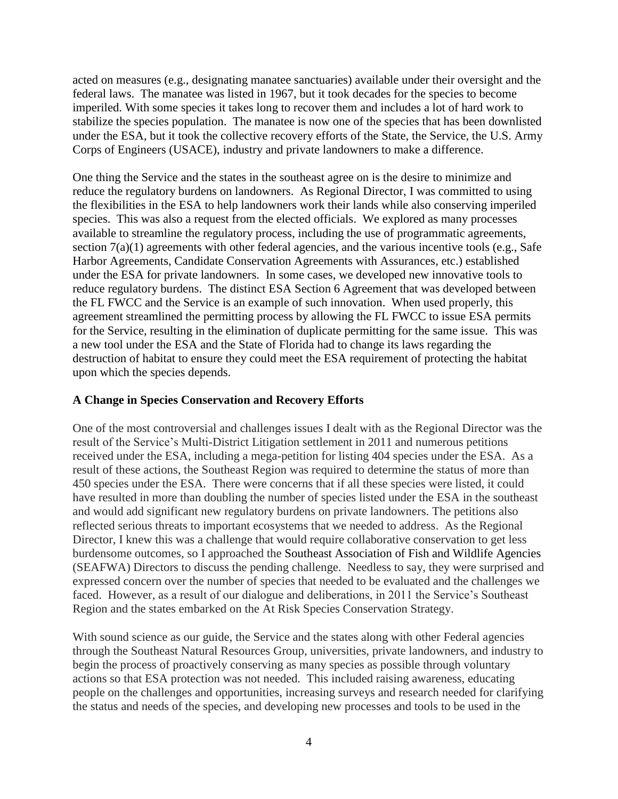acted on measures (e.g., designating manatee sanctuaries) available under their oversight and the federal laws. The manatee was listed in 1967, but it took decades for the species to become imperiled. With some species it takes long to recover them and includes a lot of hard work to stabilize the species population. The manatee is now one of the species that has been downlisted under the ESA, but it took the collective recovery efforts of the State, the Service, the U.S. Army Corps of Engineers (USACE), industry and private landowners to make a difference.

One thing the Service and the states in the southeast agree on is the desire to minimize and reduce the regulatory burdens on landowners. As Regional Director, I was committed to using the flexibilities in the ESA to help landowners work their lands while also conserving imperiled species. This was also a request from the elected officials. We explored as many processes available to streamline the regulatory process, including the use of programmatic agreements, section 7(a)(1) agreements with other federal agencies, and the various incentive tools (e.g., Safe Harbor Agreements, Candidate Conservation Agreements with Assurances, etc.) established under the ESA for private landowners. In some cases, we developed new innovative tools to reduce regulatory burdens. The distinct ESA Section 6 Agreement that was developed between the FL FWCC and the Service is an example of such innovation. When used properly, this agreement streamlined the permitting process by allowing the FL FWCC to issue ESA permits for the Service, resulting in the elimination of duplicate permitting for the same issue. This was a new tool under the ESA and the State of Florida had to change its laws regarding the destruction of habitat to ensure they could meet the ESA requirement of protecting the habitat upon which the species depends.

#### **A Change in Species Conservation and Recovery Efforts**

One of the most controversial and challenges issues I dealt with as the Regional Director was the result of the Service's Multi-District Litigation settlement in 2011 and numerous petitions received under the ESA, including a mega-petition for listing 404 species under the ESA. As a result of these actions, the Southeast Region was required to determine the status of more than 450 species under the ESA. There were concerns that if all these species were listed, it could have resulted in more than doubling the number of species listed under the ESA in the southeast and would add significant new regulatory burdens on private landowners. The petitions also reflected serious threats to important ecosystems that we needed to address. As the Regional Director, I knew this was a challenge that would require collaborative conservation to get less burdensome outcomes, so I approached the Southeast Association of Fish and Wildlife Agencies (SEAFWA) Directors to discuss the pending challenge. Needless to say, they were surprised and expressed concern over the number of species that needed to be evaluated and the challenges we faced. However, as a result of our dialogue and deliberations, in 2011 the Service's Southeast Region and the states embarked on the At Risk Species Conservation Strategy.

With sound science as our guide, the Service and the states along with other Federal agencies through the Southeast Natural Resources Group, universities, private landowners, and industry to begin the process of proactively conserving as many species as possible through voluntary actions so that ESA protection was not needed. This included raising awareness, educating people on the challenges and opportunities, increasing surveys and research needed for clarifying the status and needs of the species, and developing new processes and tools to be used in the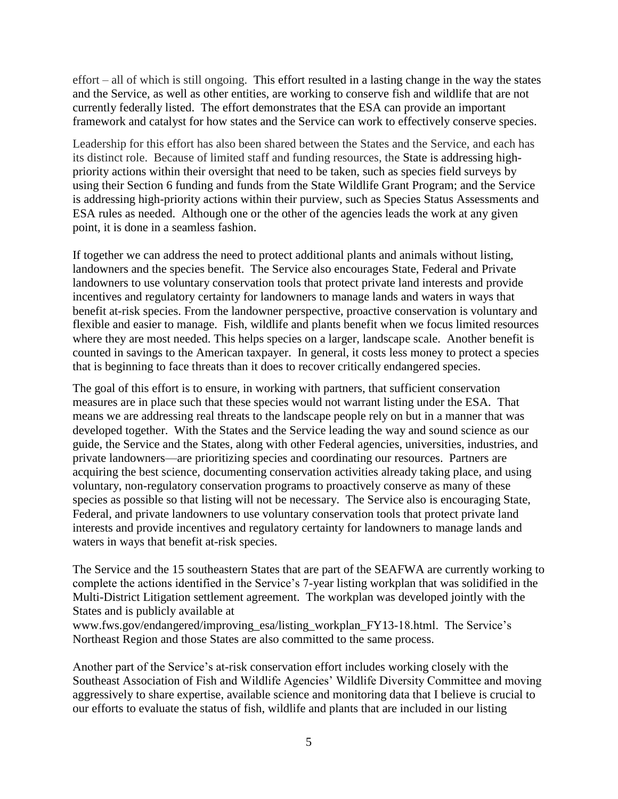effort – all of which is still ongoing. This effort resulted in a lasting change in the way the states and the Service, as well as other entities, are working to conserve fish and wildlife that are not currently federally listed. The effort demonstrates that the ESA can provide an important framework and catalyst for how states and the Service can work to effectively conserve species.

Leadership for this effort has also been shared between the States and the Service, and each has its distinct role. Because of limited staff and funding resources, the State is addressing highpriority actions within their oversight that need to be taken, such as species field surveys by using their Section 6 funding and funds from the State Wildlife Grant Program; and the Service is addressing high-priority actions within their purview, such as Species Status Assessments and ESA rules as needed. Although one or the other of the agencies leads the work at any given point, it is done in a seamless fashion.

If together we can address the need to protect additional plants and animals without listing, landowners and the species benefit. The Service also encourages State, Federal and Private landowners to use voluntary conservation tools that protect private land interests and provide incentives and regulatory certainty for landowners to manage lands and waters in ways that benefit at-risk species. From the landowner perspective, proactive conservation is voluntary and flexible and easier to manage. Fish, wildlife and plants benefit when we focus limited resources where they are most needed. This helps species on a larger, landscape scale. Another benefit is counted in savings to the American taxpayer. In general, it costs less money to protect a species that is beginning to face threats than it does to recover critically endangered species.

The goal of this effort is to ensure, in working with partners, that sufficient conservation measures are in place such that these species would not warrant listing under the ESA. That means we are addressing real threats to the landscape people rely on but in a manner that was developed together. With the States and the Service leading the way and sound science as our guide, the Service and the States, along with other Federal agencies, universities, industries, and private landowners—are prioritizing species and coordinating our resources. Partners are acquiring the best science, documenting conservation activities already taking place, and using voluntary, non-regulatory conservation programs to proactively conserve as many of these species as possible so that listing will not be necessary. The Service also is encouraging State, Federal, and private landowners to use voluntary conservation tools that protect private land interests and provide incentives and regulatory certainty for landowners to manage lands and waters in ways that benefit at-risk species.

The Service and the 15 southeastern States that are part of the SEAFWA are currently working to complete the actions identified in the Service's 7-year listing workplan that was solidified in the Multi-District Litigation settlement agreement. The workplan was developed jointly with the States and is publicly available at

www.fws.gov/endangered/improving\_esa/listing\_workplan\_FY13-18.html. The Service's Northeast Region and those States are also committed to the same process.

Another part of the Service's at-risk conservation effort includes working closely with the Southeast Association of Fish and Wildlife Agencies' Wildlife Diversity Committee and moving aggressively to share expertise, available science and monitoring data that I believe is crucial to our efforts to evaluate the status of fish, wildlife and plants that are included in our listing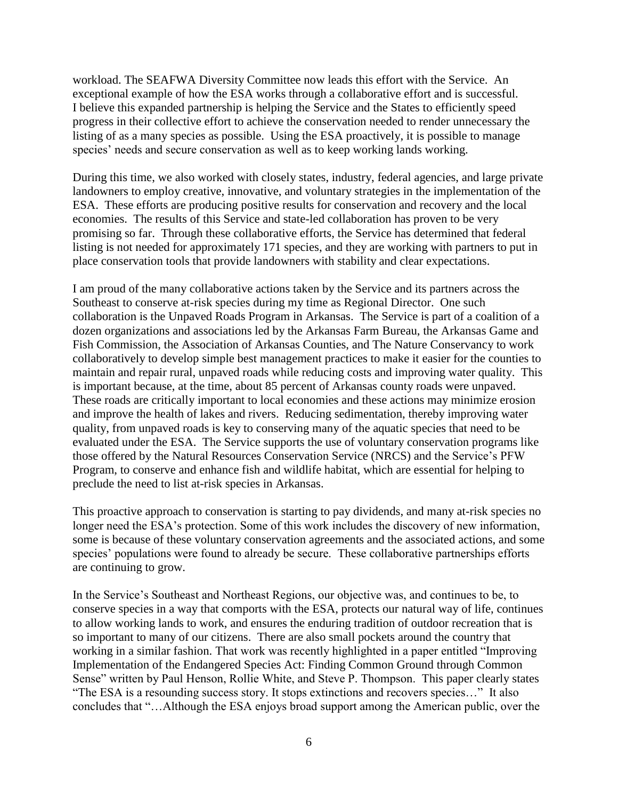workload. The SEAFWA Diversity Committee now leads this effort with the Service. An exceptional example of how the ESA works through a collaborative effort and is successful. I believe this expanded partnership is helping the Service and the States to efficiently speed progress in their collective effort to achieve the conservation needed to render unnecessary the listing of as a many species as possible. Using the ESA proactively, it is possible to manage species' needs and secure conservation as well as to keep working lands working.

During this time, we also worked with closely states, industry, federal agencies, and large private landowners to employ creative, innovative, and voluntary strategies in the implementation of the ESA. These efforts are producing positive results for conservation and recovery and the local economies. The results of this Service and state-led collaboration has proven to be very promising so far. Through these collaborative efforts, the Service has determined that federal listing is not needed for approximately 171 species, and they are working with partners to put in place conservation tools that provide landowners with stability and clear expectations.

I am proud of the many collaborative actions taken by the Service and its partners across the Southeast to conserve at-risk species during my time as Regional Director. One such collaboration is the Unpaved Roads Program in Arkansas. The Service is part of a coalition of a dozen organizations and associations led by the Arkansas Farm Bureau, the Arkansas Game and Fish Commission, the Association of Arkansas Counties, and The Nature Conservancy to work collaboratively to develop simple best management practices to make it easier for the counties to maintain and repair rural, unpaved roads while reducing costs and improving water quality. This is important because, at the time, about 85 percent of Arkansas county roads were unpaved. These roads are critically important to local economies and these actions may minimize erosion and improve the health of lakes and rivers. Reducing sedimentation, thereby improving water quality, from unpaved roads is key to conserving many of the aquatic species that need to be evaluated under the ESA. The Service supports the use of voluntary conservation programs like those offered by the Natural Resources Conservation Service (NRCS) and the Service's PFW Program, to conserve and enhance fish and wildlife habitat, which are essential for helping to preclude the need to list at-risk species in Arkansas.

This proactive approach to conservation is starting to pay dividends, and many at-risk species no longer need the ESA's protection. Some of this work includes the discovery of new information, some is because of these voluntary conservation agreements and the associated actions, and some species' populations were found to already be secure. These collaborative partnerships efforts are continuing to grow.

In the Service's Southeast and Northeast Regions, our objective was, and continues to be, to conserve species in a way that comports with the ESA, protects our natural way of life, continues to allow working lands to work, and ensures the enduring tradition of outdoor recreation that is so important to many of our citizens. There are also small pockets around the country that working in a similar fashion. That work was recently highlighted in a paper entitled "Improving Implementation of the Endangered Species Act: Finding Common Ground through Common Sense" written by Paul Henson, Rollie White, and Steve P. Thompson. This paper clearly states "The ESA is a resounding success story. It stops extinctions and recovers species…" It also concludes that "…Although the ESA enjoys broad support among the American public, over the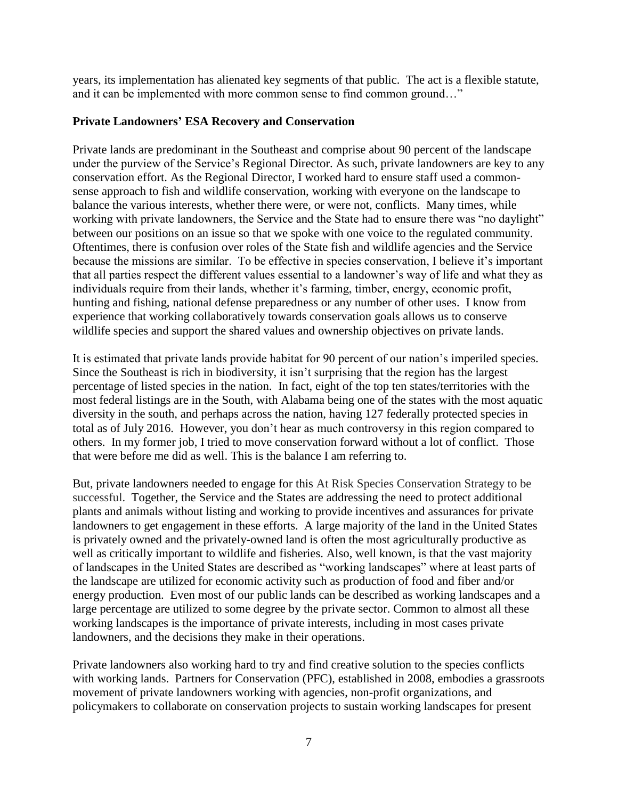years, its implementation has alienated key segments of that public. The act is a flexible statute, and it can be implemented with more common sense to find common ground…"

#### **Private Landowners' ESA Recovery and Conservation**

Private lands are predominant in the Southeast and comprise about 90 percent of the landscape under the purview of the Service's Regional Director. As such, private landowners are key to any conservation effort. As the Regional Director, I worked hard to ensure staff used a commonsense approach to fish and wildlife conservation, working with everyone on the landscape to balance the various interests, whether there were, or were not, conflicts.Many times, while working with private landowners, the Service and the State had to ensure there was "no daylight" between our positions on an issue so that we spoke with one voice to the regulated community. Oftentimes, there is confusion over roles of the State fish and wildlife agencies and the Service because the missions are similar. To be effective in species conservation, I believe it's important that all parties respect the different values essential to a landowner's way of life and what they as individuals require from their lands, whether it's farming, timber, energy, economic profit, hunting and fishing, national defense preparedness or any number of other uses. I know from experience that working collaboratively towards conservation goals allows us to conserve wildlife species and support the shared values and ownership objectives on private lands.

It is estimated that private lands provide habitat for 90 percent of our nation's imperiled species. Since the Southeast is rich in biodiversity, it isn't surprising that the region has the largest percentage of listed species in the nation. In fact, eight of the top ten states/territories with the most federal listings are in the South, with Alabama being one of the states with the most aquatic diversity in the south, and perhaps across the nation, having 127 federally protected species in total as of July 2016. However, you don't hear as much controversy in this region compared to others. In my former job, I tried to move conservation forward without a lot of conflict. Those that were before me did as well. This is the balance I am referring to.

But, private landowners needed to engage for this At Risk Species Conservation Strategy to be successful. Together, the Service and the States are addressing the need to protect additional plants and animals without listing and working to provide incentives and assurances for private landowners to get engagement in these efforts. A large majority of the land in the United States is privately owned and the privately-owned land is often the most agriculturally productive as well as critically important to wildlife and fisheries. Also, well known, is that the vast majority of landscapes in the United States are described as "working landscapes" where at least parts of the landscape are utilized for economic activity such as production of food and fiber and/or energy production. Even most of our public lands can be described as working landscapes and a large percentage are utilized to some degree by the private sector. Common to almost all these working landscapes is the importance of private interests, including in most cases private landowners, and the decisions they make in their operations.

Private landowners also working hard to try and find creative solution to the species conflicts with working lands. Partners for Conservation (PFC), established in 2008, embodies a grassroots movement of private landowners working with agencies, non-profit organizations, and policymakers to collaborate on conservation projects to sustain working landscapes for present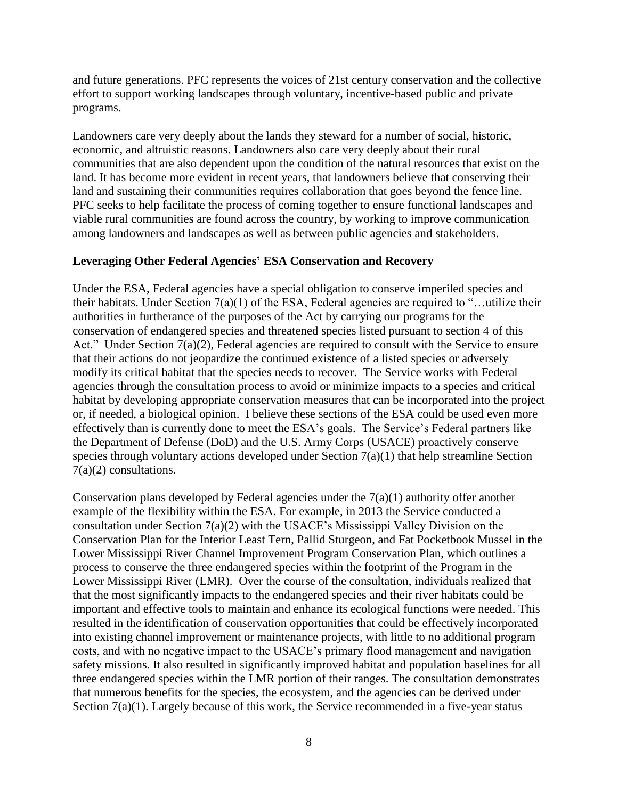and future generations. PFC represents the voices of 21st century conservation and the collective effort to support working landscapes through voluntary, incentive-based public and private programs.

Landowners care very deeply about the lands they steward for a number of social, historic, economic, and altruistic reasons. Landowners also care very deeply about their rural communities that are also dependent upon the condition of the natural resources that exist on the land. It has become more evident in recent years, that landowners believe that conserving their land and sustaining their communities requires collaboration that goes beyond the fence line. PFC seeks to help facilitate the process of coming together to ensure functional landscapes and viable rural communities are found across the country, by working to improve communication among landowners and landscapes as well as between public agencies and stakeholders.

## **Leveraging Other Federal Agencies' ESA Conservation and Recovery**

Under the ESA, Federal agencies have a special obligation to conserve imperiled species and their habitats. Under Section 7(a)(1) of the ESA, Federal agencies are required to "…utilize their authorities in furtherance of the purposes of the Act by carrying our programs for the conservation of endangered species and threatened species listed pursuant to section 4 of this Act." Under Section 7(a)(2), Federal agencies are required to consult with the Service to ensure that their actions do not jeopardize the continued existence of a listed species or adversely modify its critical habitat that the species needs to recover. The Service works with Federal agencies through the consultation process to avoid or minimize impacts to a species and critical habitat by developing appropriate conservation measures that can be incorporated into the project or, if needed, a biological opinion. I believe these sections of the ESA could be used even more effectively than is currently done to meet the ESA's goals. The Service's Federal partners like the Department of Defense (DoD) and the U.S. Army Corps (USACE) proactively conserve species through voluntary actions developed under Section 7(a)(1) that help streamline Section 7(a)(2) consultations.

Conservation plans developed by Federal agencies under the  $7(a)(1)$  authority offer another example of the flexibility within the ESA. For example, in 2013 the Service conducted a consultation under Section 7(a)(2) with the USACE's Mississippi Valley Division on the Conservation Plan for the Interior Least Tern, Pallid Sturgeon, and Fat Pocketbook Mussel in the Lower Mississippi River Channel Improvement Program Conservation Plan, which outlines a process to conserve the three endangered species within the footprint of the Program in the Lower Mississippi River (LMR). Over the course of the consultation, individuals realized that that the most significantly impacts to the endangered species and their river habitats could be important and effective tools to maintain and enhance its ecological functions were needed. This resulted in the identification of conservation opportunities that could be effectively incorporated into existing channel improvement or maintenance projects, with little to no additional program costs, and with no negative impact to the USACE's primary flood management and navigation safety missions. It also resulted in significantly improved habitat and population baselines for all three endangered species within the LMR portion of their ranges. The consultation demonstrates that numerous benefits for the species, the ecosystem, and the agencies can be derived under Section 7(a)(1). Largely because of this work, the Service recommended in a five-year status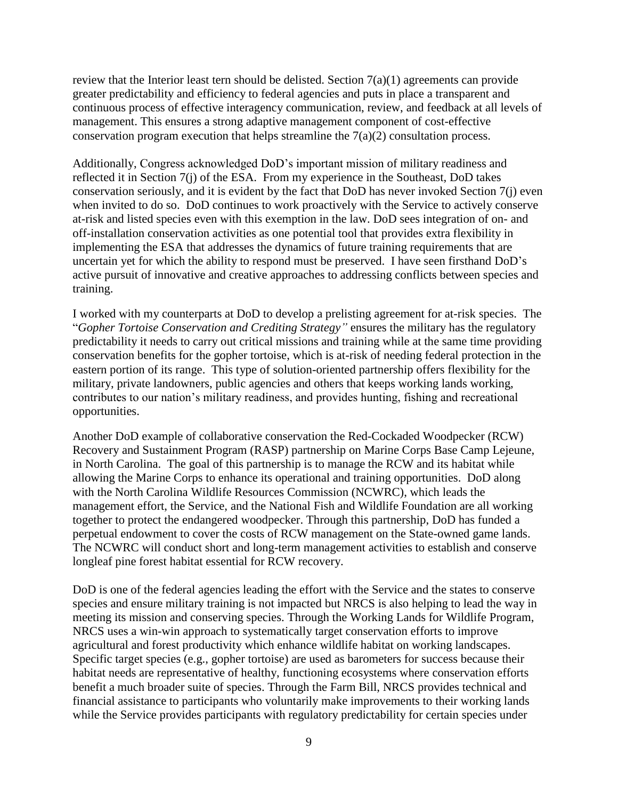review that the Interior least tern should be delisted. Section  $7(a)(1)$  agreements can provide greater predictability and efficiency to federal agencies and puts in place a transparent and continuous process of effective interagency communication, review, and feedback at all levels of management. This ensures a strong adaptive management component of cost-effective conservation program execution that helps streamline the 7(a)(2) consultation process.

Additionally, Congress acknowledged DoD's important mission of military readiness and reflected it in Section 7(j) of the ESA. From my experience in the Southeast, DoD takes conservation seriously, and it is evident by the fact that DoD has never invoked Section 7(j) even when invited to do so. DoD continues to work proactively with the Service to actively conserve at-risk and listed species even with this exemption in the law. DoD sees integration of on- and off-installation conservation activities as one potential tool that provides extra flexibility in implementing the ESA that addresses the dynamics of future training requirements that are uncertain yet for which the ability to respond must be preserved. I have seen firsthand DoD's active pursuit of innovative and creative approaches to addressing conflicts between species and training.

I worked with my counterparts at DoD to develop a prelisting agreement for at-risk species. The "*Gopher Tortoise Conservation and Crediting Strategy"* ensures the military has the regulatory predictability it needs to carry out critical missions and training while at the same time providing conservation benefits for the gopher tortoise, which is at-risk of needing federal protection in the eastern portion of its range. This type of solution-oriented partnership offers flexibility for the military, private landowners, public agencies and others that keeps working lands working, contributes to our nation's military readiness, and provides hunting, fishing and recreational opportunities.

Another DoD example of collaborative conservation the Red-Cockaded Woodpecker (RCW) Recovery and Sustainment Program (RASP) partnership on Marine Corps Base Camp Lejeune, in North Carolina. The goal of this partnership is to manage the RCW and its habitat while allowing the Marine Corps to enhance its operational and training opportunities. DoD along with the North Carolina Wildlife Resources Commission (NCWRC), which leads the management effort, the Service, and the National Fish and Wildlife Foundation are all working together to protect the endangered woodpecker. Through this partnership, DoD has funded a perpetual endowment to cover the costs of RCW management on the State-owned game lands. The NCWRC will conduct short and long-term management activities to establish and conserve longleaf pine forest habitat essential for RCW recovery.

DoD is one of the federal agencies leading the effort with the Service and the states to conserve species and ensure military training is not impacted but NRCS is also helping to lead the way in meeting its mission and conserving species. Through the Working Lands for Wildlife Program, NRCS uses a win-win approach to systematically target conservation efforts to improve agricultural and forest productivity which enhance wildlife habitat on working landscapes. Specific target species (e.g., gopher tortoise) are used as barometers for success because their habitat needs are representative of healthy, functioning ecosystems where conservation efforts benefit a much broader suite of species. Through the Farm Bill, NRCS provides technical and financial assistance to participants who voluntarily make improvements to their working lands while the Service provides participants with regulatory predictability for certain species under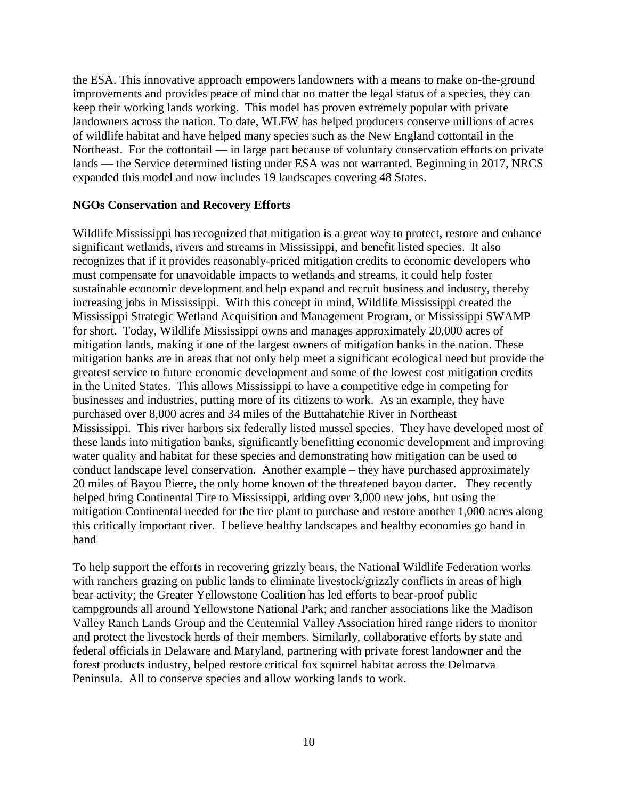the ESA. This innovative approach empowers landowners with a means to make on-the-ground improvements and provides peace of mind that no matter the legal status of a species, they can keep their working lands working. This model has proven extremely popular with private landowners across the nation. To date, WLFW has helped producers conserve millions of acres of wildlife habitat and have helped many species such as the New England cottontail in the Northeast. For the cottontail — in large part because of voluntary conservation efforts on private lands — the Service determined listing under ESA was not warranted. Beginning in 2017, NRCS expanded this model and now includes 19 landscapes covering 48 States.

### **NGOs Conservation and Recovery Efforts**

Wildlife Mississippi has recognized that mitigation is a great way to protect, restore and enhance significant wetlands, rivers and streams in Mississippi, and benefit listed species. It also recognizes that if it provides reasonably-priced mitigation credits to economic developers who must compensate for unavoidable impacts to wetlands and streams, it could help foster sustainable economic development and help expand and recruit business and industry, thereby increasing jobs in Mississippi. With this concept in mind, Wildlife Mississippi created the Mississippi Strategic Wetland Acquisition and Management Program, or Mississippi SWAMP for short. Today, Wildlife Mississippi owns and manages approximately 20,000 acres of mitigation lands, making it one of the largest owners of mitigation banks in the nation. These mitigation banks are in areas that not only help meet a significant ecological need but provide the greatest service to future economic development and some of the lowest cost mitigation credits in the United States. This allows Mississippi to have a competitive edge in competing for businesses and industries, putting more of its citizens to work. As an example, they have purchased over 8,000 acres and 34 miles of the Buttahatchie River in Northeast Mississippi. This river harbors six federally listed mussel species. They have developed most of these lands into mitigation banks, significantly benefitting economic development and improving water quality and habitat for these species and demonstrating how mitigation can be used to conduct landscape level conservation. Another example – they have purchased approximately 20 miles of Bayou Pierre, the only home known of the threatened bayou darter. They recently helped bring Continental Tire to Mississippi, adding over 3,000 new jobs, but using the mitigation Continental needed for the tire plant to purchase and restore another 1,000 acres along this critically important river. I believe healthy landscapes and healthy economies go hand in hand

To help support the efforts in recovering grizzly bears, the National Wildlife Federation works with ranchers grazing on public lands to eliminate livestock/grizzly conflicts in areas of high bear activity; the Greater Yellowstone Coalition has led efforts to bear-proof public campgrounds all around Yellowstone National Park; and rancher associations like the Madison Valley Ranch Lands Group and the Centennial Valley Association hired range riders to monitor and protect the livestock herds of their members. Similarly, collaborative efforts by state and federal officials in Delaware and Maryland, partnering with private forest landowner and the forest products industry, helped restore critical fox squirrel habitat across the Delmarva Peninsula. All to conserve species and allow working lands to work.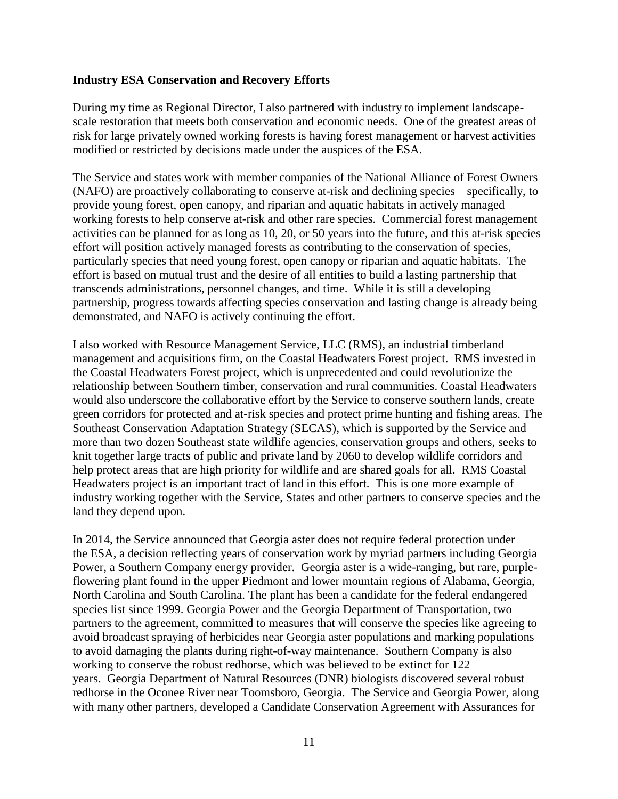### **Industry ESA Conservation and Recovery Efforts**

During my time as Regional Director, I also partnered with industry to implement landscapescale restoration that meets both conservation and economic needs. One of the greatest areas of risk for large privately owned working forests is having forest management or harvest activities modified or restricted by decisions made under the auspices of the ESA.

The Service and states work with member companies of the National Alliance of Forest Owners (NAFO) are proactively collaborating to conserve at-risk and declining species – specifically, to provide young forest, open canopy, and riparian and aquatic habitats in actively managed working forests to help conserve at-risk and other rare species. Commercial forest management activities can be planned for as long as 10, 20, or 50 years into the future, and this at-risk species effort will position actively managed forests as contributing to the conservation of species, particularly species that need young forest, open canopy or riparian and aquatic habitats. The effort is based on mutual trust and the desire of all entities to build a lasting partnership that transcends administrations, personnel changes, and time. While it is still a developing partnership, progress towards affecting species conservation and lasting change is already being demonstrated, and NAFO is actively continuing the effort.

I also worked with Resource Management Service, LLC (RMS), an industrial timberland management and acquisitions firm, on the Coastal Headwaters Forest project. RMS invested in the Coastal Headwaters Forest project, which is unprecedented and could revolutionize the relationship between Southern timber, conservation and rural communities. Coastal Headwaters would also underscore the collaborative effort by the Service to conserve southern lands, create green corridors for protected and at-risk species and protect prime hunting and fishing areas. The Southeast Conservation Adaptation Strategy (SECAS), which is supported by the Service and more than two dozen Southeast state wildlife agencies, conservation groups and others, seeks to knit together large tracts of public and private land by 2060 to develop wildlife corridors and help protect areas that are high priority for wildlife and are shared goals for all. RMS Coastal Headwaters project is an important tract of land in this effort. This is one more example of industry working together with the Service, States and other partners to conserve species and the land they depend upon.

In 2014, the Service announced that Georgia aster does not require federal protection under the ESA, a decision reflecting years of conservation work by myriad partners including Georgia Power, a Southern Company energy provider. Georgia aster is a wide-ranging, but rare, purpleflowering plant found in the upper Piedmont and lower mountain regions of Alabama, Georgia, North Carolina and South Carolina. The plant has been a candidate for the federal endangered species list since 1999. Georgia Power and the Georgia Department of Transportation, two partners to the agreement, committed to measures that will conserve the species like agreeing to avoid broadcast spraying of herbicides near Georgia aster populations and marking populations to avoid damaging the plants during right-of-way maintenance. Southern Company is also working to conserve the robust redhorse, which was believed to be extinct for 122 years. Georgia Department of Natural Resources (DNR) biologists discovered several robust redhorse in the Oconee River near Toomsboro, Georgia. The Service and Georgia Power, along with many other partners, developed a Candidate Conservation Agreement with Assurances for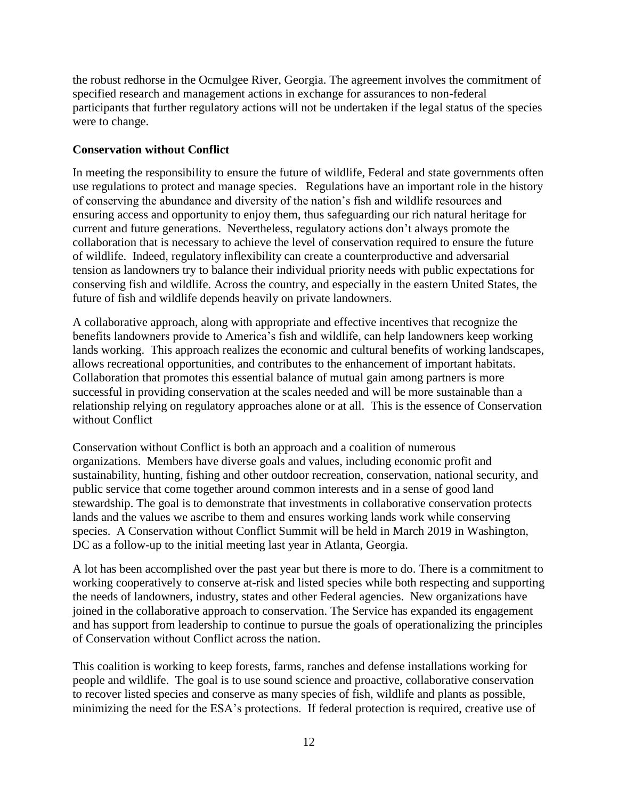the robust redhorse in the Ocmulgee River, Georgia. The agreement involves the commitment of specified research and management actions in exchange for assurances to non-federal participants that further regulatory actions will not be undertaken if the legal status of the species were to change.

# **Conservation without Conflict**

In meeting the responsibility to ensure the future of wildlife, Federal and state governments often use regulations to protect and manage species. Regulations have an important role in the history of conserving the abundance and diversity of the nation's fish and wildlife resources and ensuring access and opportunity to enjoy them, thus safeguarding our rich natural heritage for current and future generations. Nevertheless, regulatory actions don't always promote the collaboration that is necessary to achieve the level of conservation required to ensure the future of wildlife. Indeed, regulatory inflexibility can create a counterproductive and adversarial tension as landowners try to balance their individual priority needs with public expectations for conserving fish and wildlife. Across the country, and especially in the eastern United States, the future of fish and wildlife depends heavily on private landowners.

A collaborative approach, along with appropriate and effective incentives that recognize the benefits landowners provide to America's fish and wildlife, can help landowners keep working lands working. This approach realizes the economic and cultural benefits of working landscapes, allows recreational opportunities, and contributes to the enhancement of important habitats. Collaboration that promotes this essential balance of mutual gain among partners is more successful in providing conservation at the scales needed and will be more sustainable than a relationship relying on regulatory approaches alone or at all. This is the essence of Conservation without Conflict

Conservation without Conflict is both an approach and a coalition of numerous organizations. Members have diverse goals and values, including economic profit and sustainability, hunting, fishing and other outdoor recreation, conservation, national security, and public service that come together around common interests and in a sense of good land stewardship. The goal is to demonstrate that investments in collaborative conservation protects lands and the values we ascribe to them and ensures working lands work while conserving species. A Conservation without Conflict Summit will be held in March 2019 in Washington, DC as a follow-up to the initial meeting last year in Atlanta, Georgia.

A lot has been accomplished over the past year but there is more to do. There is a commitment to working cooperatively to conserve at-risk and listed species while both respecting and supporting the needs of landowners, industry, states and other Federal agencies. New organizations have joined in the collaborative approach to conservation. The Service has expanded its engagement and has support from leadership to continue to pursue the goals of operationalizing the principles of Conservation without Conflict across the nation.

This coalition is working to keep forests, farms, ranches and defense installations working for people and wildlife. The goal is to use sound science and proactive, collaborative conservation to recover listed species and conserve as many species of fish, wildlife and plants as possible, minimizing the need for the ESA's protections. If federal protection is required, creative use of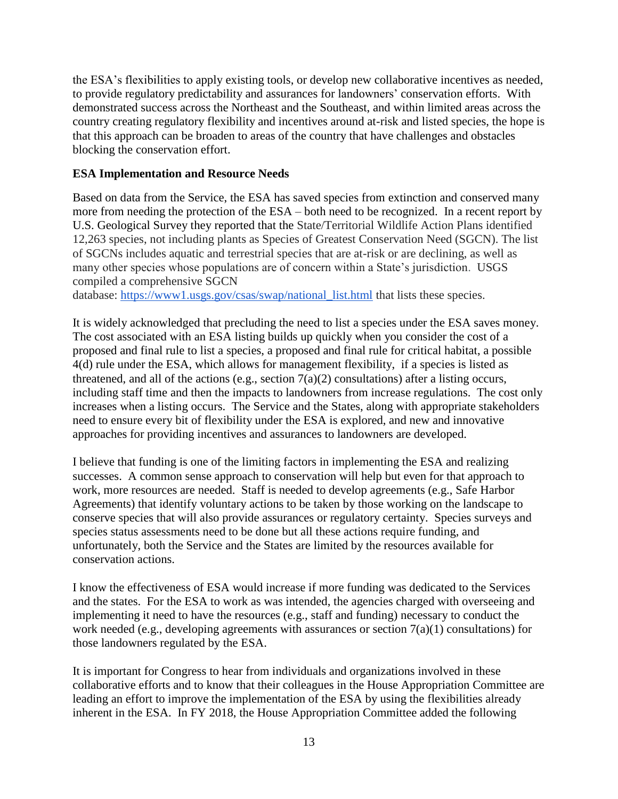the ESA's flexibilities to apply existing tools, or develop new collaborative incentives as needed, to provide regulatory predictability and assurances for landowners' conservation efforts. With demonstrated success across the Northeast and the Southeast, and within limited areas across the country creating regulatory flexibility and incentives around at-risk and listed species, the hope is that this approach can be broaden to areas of the country that have challenges and obstacles blocking the conservation effort.

## **ESA Implementation and Resource Needs**

Based on data from the Service, the ESA has saved species from extinction and conserved many more from needing the protection of the ESA – both need to be recognized. In a recent report by U.S. Geological Survey they reported that the State/Territorial Wildlife Action Plans identified 12,263 species, not including plants as Species of Greatest Conservation Need (SGCN). The list of SGCNs includes aquatic and terrestrial species that are at-risk or are declining, as well as many other species whose populations are of concern within a State's jurisdiction. USGS compiled a comprehensive SGCN

database: [https://www1.usgs.gov/csas/swap/national\\_list.html](https://www1.usgs.gov/csas/swap/national_list.html) that lists these species.

It is widely acknowledged that precluding the need to list a species under the ESA saves money. The cost associated with an ESA listing builds up quickly when you consider the cost of a proposed and final rule to list a species, a proposed and final rule for critical habitat, a possible 4(d) rule under the ESA, which allows for management flexibility, if a species is listed as threatened, and all of the actions (e.g., section  $7(a)(2)$  consultations) after a listing occurs, including staff time and then the impacts to landowners from increase regulations. The cost only increases when a listing occurs. The Service and the States, along with appropriate stakeholders need to ensure every bit of flexibility under the ESA is explored, and new and innovative approaches for providing incentives and assurances to landowners are developed.

I believe that funding is one of the limiting factors in implementing the ESA and realizing successes. A common sense approach to conservation will help but even for that approach to work, more resources are needed. Staff is needed to develop agreements (e.g., Safe Harbor Agreements) that identify voluntary actions to be taken by those working on the landscape to conserve species that will also provide assurances or regulatory certainty. Species surveys and species status assessments need to be done but all these actions require funding, and unfortunately, both the Service and the States are limited by the resources available for conservation actions.

I know the effectiveness of ESA would increase if more funding was dedicated to the Services and the states. For the ESA to work as was intended, the agencies charged with overseeing and implementing it need to have the resources (e.g., staff and funding) necessary to conduct the work needed (e.g., developing agreements with assurances or section  $7(a)(1)$  consultations) for those landowners regulated by the ESA.

It is important for Congress to hear from individuals and organizations involved in these collaborative efforts and to know that their colleagues in the House Appropriation Committee are leading an effort to improve the implementation of the ESA by using the flexibilities already inherent in the ESA. In FY 2018, the House Appropriation Committee added the following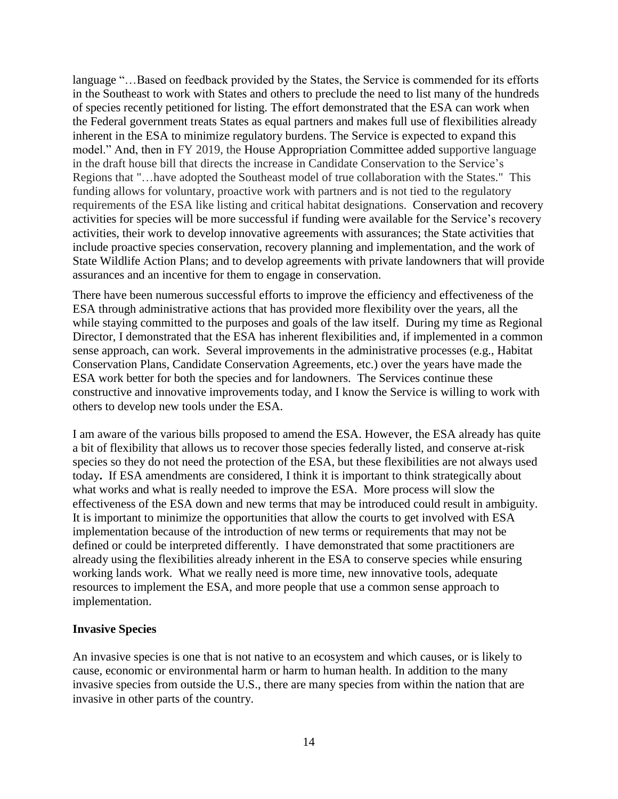language "…Based on feedback provided by the States, the Service is commended for its efforts in the Southeast to work with States and others to preclude the need to list many of the hundreds of species recently petitioned for listing. The effort demonstrated that the ESA can work when the Federal government treats States as equal partners and makes full use of flexibilities already inherent in the ESA to minimize regulatory burdens. The Service is expected to expand this model." And, then in FY 2019, the House Appropriation Committee added supportive language in the draft house bill that directs the increase in Candidate Conservation to the Service's Regions that "…have adopted the Southeast model of true collaboration with the States." This funding allows for voluntary, proactive work with partners and is not tied to the regulatory requirements of the ESA like listing and critical habitat designations. Conservation and recovery activities for species will be more successful if funding were available for the Service's recovery activities, their work to develop innovative agreements with assurances; the State activities that include proactive species conservation, recovery planning and implementation, and the work of State Wildlife Action Plans; and to develop agreements with private landowners that will provide assurances and an incentive for them to engage in conservation.

There have been numerous successful efforts to improve the efficiency and effectiveness of the ESA through administrative actions that has provided more flexibility over the years, all the while staying committed to the purposes and goals of the law itself. During my time as Regional Director, I demonstrated that the ESA has inherent flexibilities and, if implemented in a common sense approach, can work. Several improvements in the administrative processes (e.g., Habitat Conservation Plans, Candidate Conservation Agreements, etc.) over the years have made the ESA work better for both the species and for landowners. The Services continue these constructive and innovative improvements today, and I know the Service is willing to work with others to develop new tools under the ESA.

I am aware of the various bills proposed to amend the ESA. However, the ESA already has quite a bit of flexibility that allows us to recover those species federally listed, and conserve at-risk species so they do not need the protection of the ESA, but these flexibilities are not always used today**.** If ESA amendments are considered, I think it is important to think strategically about what works and what is really needed to improve the ESA. More process will slow the effectiveness of the ESA down and new terms that may be introduced could result in ambiguity. It is important to minimize the opportunities that allow the courts to get involved with ESA implementation because of the introduction of new terms or requirements that may not be defined or could be interpreted differently. I have demonstrated that some practitioners are already using the flexibilities already inherent in the ESA to conserve species while ensuring working lands work. What we really need is more time, new innovative tools, adequate resources to implement the ESA, and more people that use a common sense approach to implementation.

## **Invasive Species**

An invasive species is one that is not native to an ecosystem and which causes, or is likely to cause, economic or environmental harm or harm to human health. In addition to the many invasive species from outside the U.S., there are many species from within the nation that are invasive in other parts of the country.